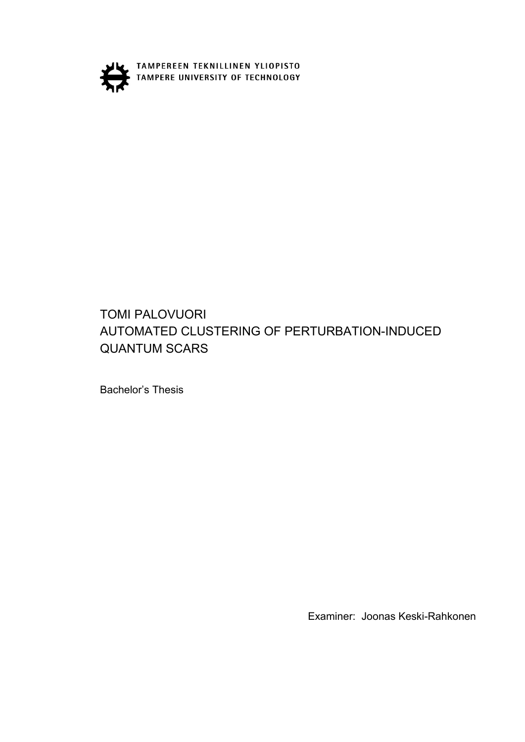

TAMPEREEN TEKNILLINEN YLIOPISTO

## TOMI PALOVUORI AUTOMATED CLUSTERING OF PERTURBATION-INDUCED QUANTUM SCARS

Bachelor's Thesis

Examiner: Joonas Keski-Rahkonen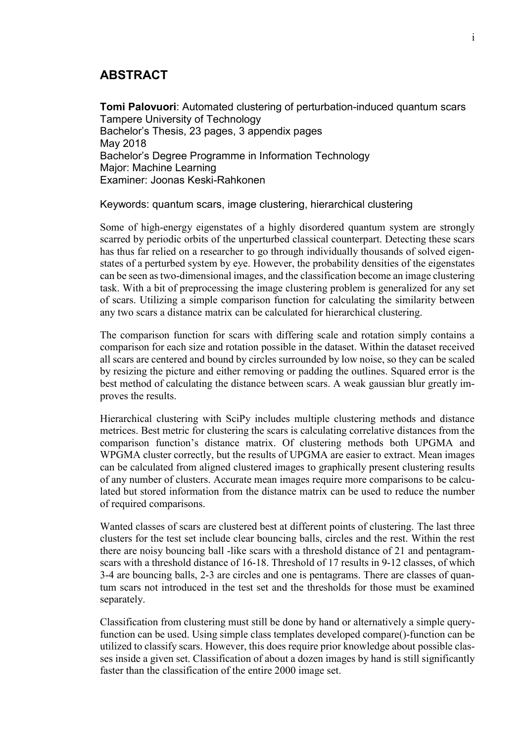## **ABSTRACT**

**Tomi Palovuori**: Automated clustering of perturbation-induced quantum scars Tampere University of Technology Bachelor's Thesis, 23 pages, 3 appendix pages May 2018 Bachelor's Degree Programme in Information Technology Major: Machine Learning Examiner: Joonas Keski-Rahkonen

Keywords: quantum scars, image clustering, hierarchical clustering

Some of high-energy eigenstates of a highly disordered quantum system are strongly scarred by periodic orbits of the unperturbed classical counterpart. Detecting these scars has thus far relied on a researcher to go through individually thousands of solved eigenstates of a perturbed system by eye. However, the probability densities of the eigenstates can be seen as two-dimensional images, and the classification become an image clustering task. With a bit of preprocessing the image clustering problem is generalized for any set of scars. Utilizing a simple comparison function for calculating the similarity between any two scars a distance matrix can be calculated for hierarchical clustering.

The comparison function for scars with differing scale and rotation simply contains a comparison for each size and rotation possible in the dataset. Within the dataset received all scars are centered and bound by circles surrounded by low noise, so they can be scaled by resizing the picture and either removing or padding the outlines. Squared error is the best method of calculating the distance between scars. A weak gaussian blur greatly improves the results.

Hierarchical clustering with SciPy includes multiple clustering methods and distance metrices. Best metric for clustering the scars is calculating correlative distances from the comparison function's distance matrix. Of clustering methods both UPGMA and WPGMA cluster correctly, but the results of UPGMA are easier to extract. Mean images can be calculated from aligned clustered images to graphically present clustering results of any number of clusters. Accurate mean images require more comparisons to be calculated but stored information from the distance matrix can be used to reduce the number of required comparisons.

Wanted classes of scars are clustered best at different points of clustering. The last three clusters for the test set include clear bouncing balls, circles and the rest. Within the rest there are noisy bouncing ball -like scars with a threshold distance of 21 and pentagramscars with a threshold distance of 16-18. Threshold of 17 results in 9-12 classes, of which 3-4 are bouncing balls, 2-3 are circles and one is pentagrams. There are classes of quantum scars not introduced in the test set and the thresholds for those must be examined separately.

Classification from clustering must still be done by hand or alternatively a simple queryfunction can be used. Using simple class templates developed compare()-function can be utilized to classify scars. However, this does require prior knowledge about possible classes inside a given set. Classification of about a dozen images by hand is still significantly faster than the classification of the entire 2000 image set.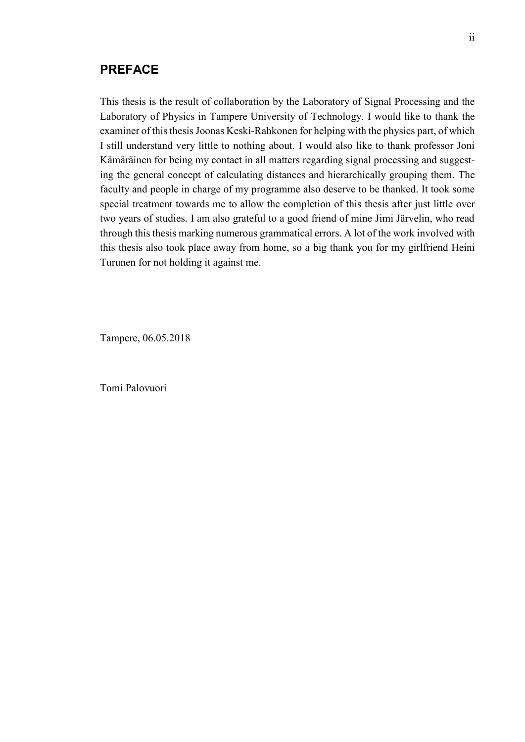### **PREFACE**

This thesis is the result of collaboration by the Laboratory of Signal Processing and the Laboratory of Physics in Tampere University of Technology. I would like to thank the examiner of this thesis Joonas Keski-Rahkonen for helping with the physics part, of which I still understand very little to nothing about. I would also like to thank professor Joni Kämäräinen for being my contact in all matters regarding signal processing and suggesting the general concept of calculating distances and hierarchically grouping them. The faculty and people in charge of my programme also deserve to be thanked. It took some special treatment towards me to allow the completion of this thesis after just little over two years of studies. I am also grateful to a good friend of mine Jimi Järvelin, who read through this thesis marking numerous grammatical errors. A lot of the work involved with this thesis also took place away from home, so a big thank you for my girlfriend Heini Turunen for not holding it against me.

Tampere, 06.05.2018

Tomi Palovuori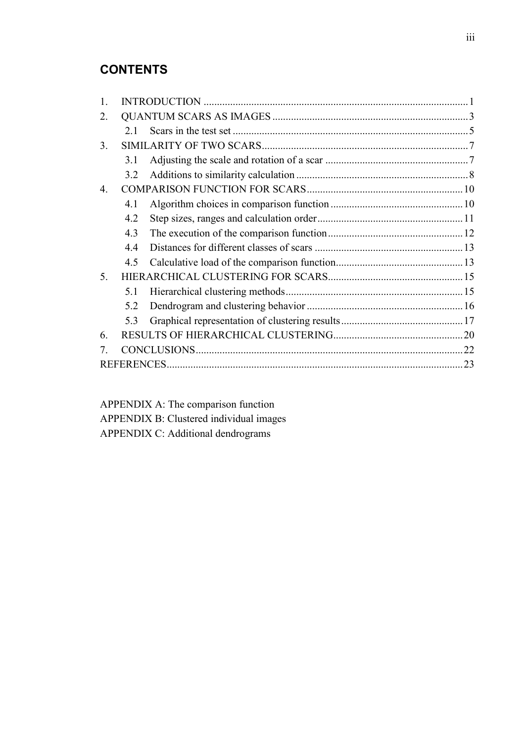## **CONTENTS**

| 2.             |     |  |  |
|----------------|-----|--|--|
|                | 21  |  |  |
| 3.             |     |  |  |
|                | 3.1 |  |  |
|                | 3.2 |  |  |
| $\mathbf{4}$ . |     |  |  |
|                | 4.1 |  |  |
|                | 4.2 |  |  |
|                | 4.3 |  |  |
|                | 4.4 |  |  |
|                | 4.5 |  |  |
| 5.             |     |  |  |
|                | 5.1 |  |  |
|                | 5.2 |  |  |
|                | 5.3 |  |  |
| 6.             |     |  |  |
|                |     |  |  |
|                |     |  |  |
|                |     |  |  |

APPENDIX A: The comparison function APPENDIX B: Clustered individual images APPENDIX C: Additional dendrograms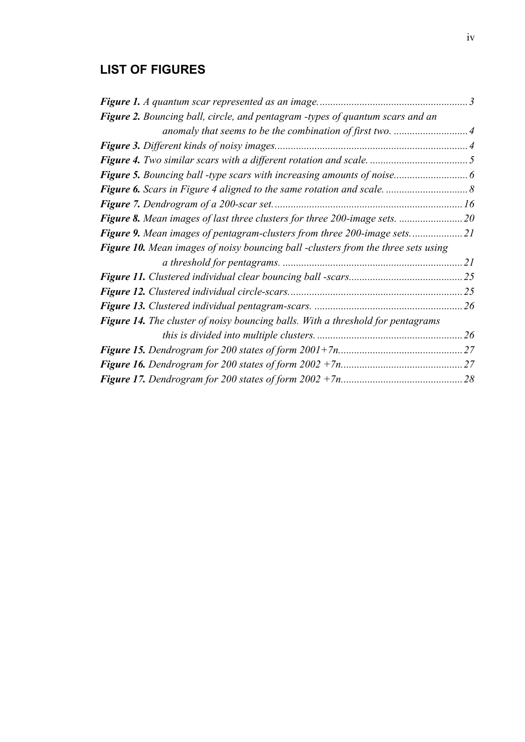# **LIST OF FIGURES**

| Figure 2. Bouncing ball, circle, and pentagram -types of quantum scars and an            |    |
|------------------------------------------------------------------------------------------|----|
|                                                                                          |    |
|                                                                                          |    |
|                                                                                          |    |
|                                                                                          |    |
|                                                                                          |    |
|                                                                                          |    |
|                                                                                          |    |
|                                                                                          |    |
| <b>Figure 10.</b> Mean images of noisy bouncing ball -clusters from the three sets using |    |
|                                                                                          | 21 |
|                                                                                          |    |
|                                                                                          |    |
|                                                                                          | 26 |
| <b>Figure 14.</b> The cluster of noisy bouncing balls. With a threshold for pentagrams   |    |
|                                                                                          | 26 |
|                                                                                          |    |
|                                                                                          |    |
|                                                                                          | 28 |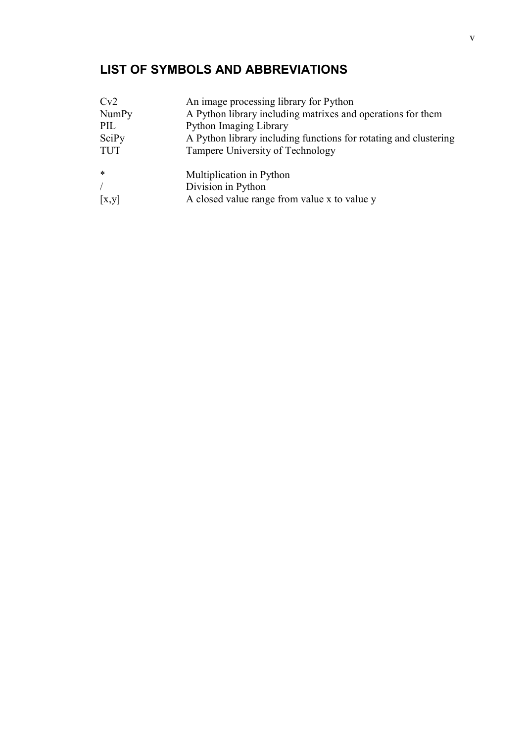# **LIST OF SYMBOLS AND ABBREVIATIONS**

| Cv2          | An image processing library for Python                           |
|--------------|------------------------------------------------------------------|
| <b>NumPy</b> | A Python library including matrixes and operations for them      |
| PIL          | Python Imaging Library                                           |
| SciPy        | A Python library including functions for rotating and clustering |
| <b>TUT</b>   | Tampere University of Technology                                 |
| $\ast$       | Multiplication in Python                                         |
|              | Division in Python                                               |
| [x,y]        | A closed value range from value x to value y                     |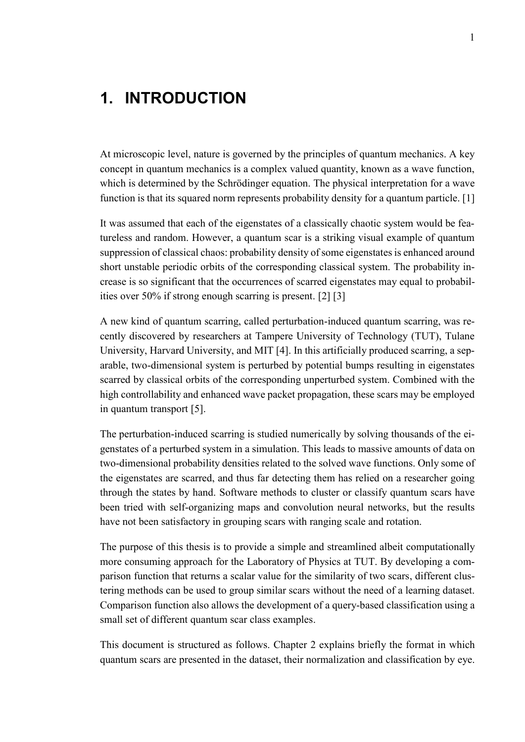# <span id="page-6-0"></span>**1. INTRODUCTION**

At microscopic level, nature is governed by the principles of quantum mechanics. A key concept in quantum mechanics is a complex valued quantity, known as a wave function, which is determined by the Schrödinger equation. The physical interpretation for a wave function is that its squared norm represents probability density for a quantum particle. [1]

It was assumed that each of the eigenstates of a classically chaotic system would be featureless and random. However, a quantum scar is a striking visual example of quantum suppression of classical chaos: probability density of some eigenstates is enhanced around short unstable periodic orbits of the corresponding classical system. The probability increase is so significant that the occurrences of scarred eigenstates may equal to probabilities over 50% if strong enough scarring is present. [2] [3]

A new kind of quantum scarring, called perturbation-induced quantum scarring, was recently discovered by researchers at Tampere University of Technology (TUT), Tulane University, Harvard University, and MIT [4]. In this artificially produced scarring, a separable, two-dimensional system is perturbed by potential bumps resulting in eigenstates scarred by classical orbits of the corresponding unperturbed system. Combined with the high controllability and enhanced wave packet propagation, these scars may be employed in quantum transport [5].

The perturbation-induced scarring is studied numerically by solving thousands of the eigenstates of a perturbed system in a simulation. This leads to massive amounts of data on two-dimensional probability densities related to the solved wave functions. Only some of the eigenstates are scarred, and thus far detecting them has relied on a researcher going through the states by hand. Software methods to cluster or classify quantum scars have been tried with self-organizing maps and convolution neural networks, but the results have not been satisfactory in grouping scars with ranging scale and rotation.

The purpose of this thesis is to provide a simple and streamlined albeit computationally more consuming approach for the Laboratory of Physics at TUT. By developing a comparison function that returns a scalar value for the similarity of two scars, different clustering methods can be used to group similar scars without the need of a learning dataset. Comparison function also allows the development of a query-based classification using a small set of different quantum scar class examples.

This document is structured as follows. Chapter 2 explains briefly the format in which quantum scars are presented in the dataset, their normalization and classification by eye.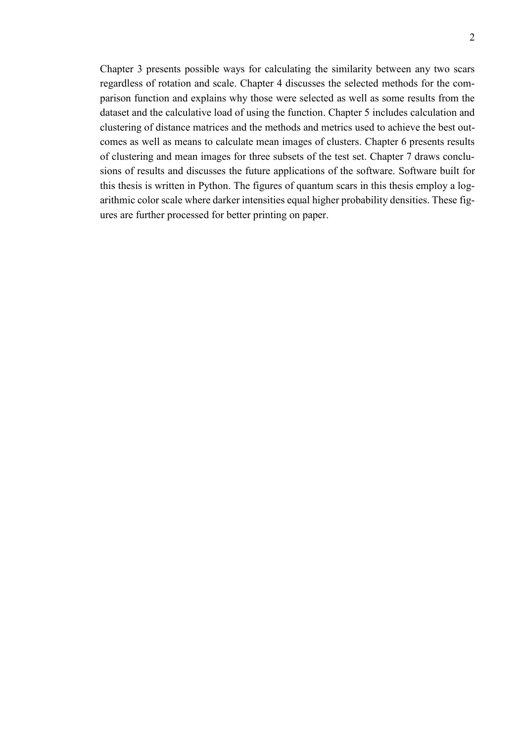Chapter 3 presents possible ways for calculating the similarity between any two scars regardless of rotation and scale. Chapter 4 discusses the selected methods for the comparison function and explains why those were selected as well as some results from the dataset and the calculative load of using the function. Chapter 5 includes calculation and clustering of distance matrices and the methods and metrics used to achieve the best outcomes as well as means to calculate mean images of clusters. Chapter 6 presents results of clustering and mean images for three subsets of the test set. Chapter 7 draws conclusions of results and discusses the future applications of the software. Software built for this thesis is written in Python. The figures of quantum scars in this thesis employ a logarithmic color scale where darker intensities equal higher probability densities. These figures are further processed for better printing on paper.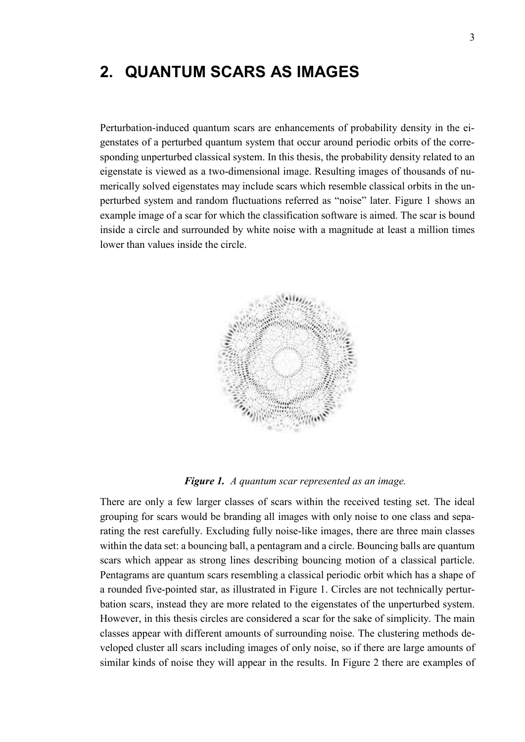# <span id="page-8-0"></span>**2. QUANTUM SCARS AS IMAGES**

Perturbation-induced quantum scars are enhancements of probability density in the eigenstates of a perturbed quantum system that occur around periodic orbits of the corresponding unperturbed classical system. In this thesis, the probability density related to an eigenstate is viewed as a two-dimensional image. Resulting images of thousands of numerically solved eigenstates may include scars which resemble classical orbits in the unperturbed system and random fluctuations referred as "noise" later. Figure 1 shows an example image of a scar for which the classification software is aimed. The scar is bound inside a circle and surrounded by white noise with a magnitude at least a million times lower than values inside the circle.



*Figure 1. A quantum scar represented as an image.*

<span id="page-8-1"></span>There are only a few larger classes of scars within the received testing set. The ideal grouping for scars would be branding all images with only noise to one class and separating the rest carefully. Excluding fully noise-like images, there are three main classes within the data set: a bouncing ball, a pentagram and a circle. Bouncing balls are quantum scars which appear as strong lines describing bouncing motion of a classical particle. Pentagrams are quantum scars resembling a classical periodic orbit which has a shape of a rounded five-pointed star, as illustrated in Figure 1. Circles are not technically perturbation scars, instead they are more related to the eigenstates of the unperturbed system. However, in this thesis circles are considered a scar for the sake of simplicity. The main classes appear with different amounts of surrounding noise. The clustering methods developed cluster all scars including images of only noise, so if there are large amounts of similar kinds of noise they will appear in the results. In Figure 2 there are examples of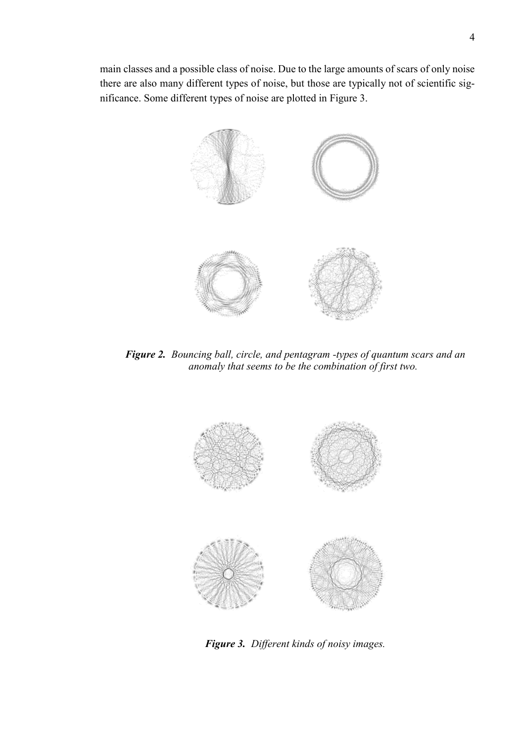main classes and a possible class of noise. Due to the large amounts of scars of only noise there are also many different types of noise, but those are typically not of scientific significance. Some different types of noise are plotted in Figure 3.



*Figure 2. Bouncing ball, circle, and pentagram -types of quantum scars and an anomaly that seems to be the combination of first two.*

<span id="page-9-1"></span><span id="page-9-0"></span>

*Figure 3. Different kinds of noisy images.*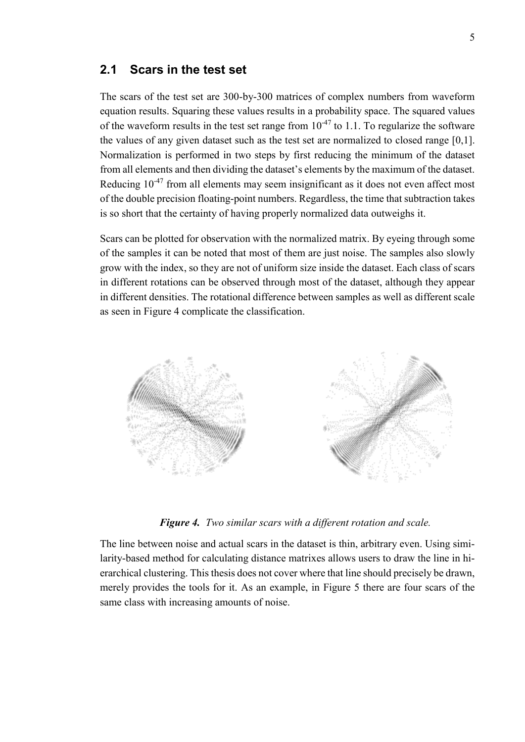### <span id="page-10-0"></span>**2.1 Scars in the test set**

The scars of the test set are 300-by-300 matrices of complex numbers from waveform equation results. Squaring these values results in a probability space. The squared values of the waveform results in the test set range from  $10^{-47}$  to 1.1. To regularize the software the values of any given dataset such as the test set are normalized to closed range [0,1]. Normalization is performed in two steps by first reducing the minimum of the dataset from all elements and then dividing the dataset's elements by the maximum of the dataset. Reducing  $10^{-47}$  from all elements may seem insignificant as it does not even affect most of the double precision floating-point numbers. Regardless, the time that subtraction takes is so short that the certainty of having properly normalized data outweighs it.

Scars can be plotted for observation with the normalized matrix. By eyeing through some of the samples it can be noted that most of them are just noise. The samples also slowly grow with the index, so they are not of uniform size inside the dataset. Each class of scars in different rotations can be observed through most of the dataset, although they appear in different densities. The rotational difference between samples as well as different scale as seen in Figure 4 complicate the classification.



*Figure 4. Two similar scars with a different rotation and scale.*

<span id="page-10-1"></span>The line between noise and actual scars in the dataset is thin, arbitrary even. Using similarity-based method for calculating distance matrixes allows users to draw the line in hierarchical clustering. This thesis does not cover where that line should precisely be drawn, merely provides the tools for it. As an example, in Figure 5 there are four scars of the same class with increasing amounts of noise.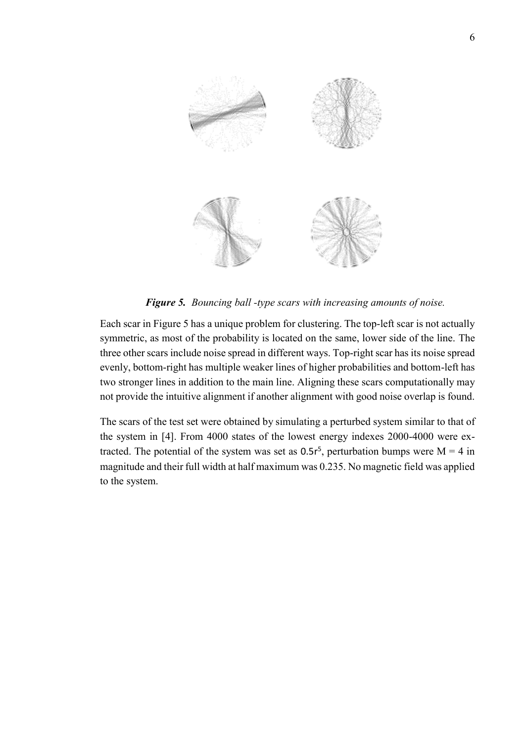

*Figure 5. Bouncing ball -type scars with increasing amounts of noise.*

<span id="page-11-0"></span>Each scar in Figure 5 has a unique problem for clustering. The top-left scar is not actually symmetric, as most of the probability is located on the same, lower side of the line. The three other scars include noise spread in different ways. Top-right scar has its noise spread evenly, bottom-right has multiple weaker lines of higher probabilities and bottom-left has two stronger lines in addition to the main line. Aligning these scars computationally may not provide the intuitive alignment if another alignment with good noise overlap is found.

The scars of the test set were obtained by simulating a perturbed system similar to that of the system in [4]. From 4000 states of the lowest energy indexes 2000-4000 were extracted. The potential of the system was set as  $0.5r^5$ , perturbation bumps were M = 4 in magnitude and their full width at half maximum was 0.235. No magnetic field was applied to the system.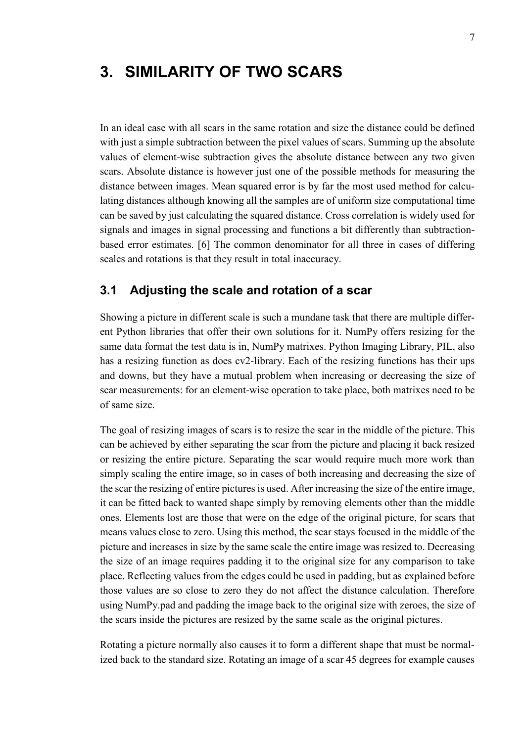# <span id="page-12-0"></span>**3. SIMILARITY OF TWO SCARS**

In an ideal case with all scars in the same rotation and size the distance could be defined with just a simple subtraction between the pixel values of scars. Summing up the absolute values of element-wise subtraction gives the absolute distance between any two given scars. Absolute distance is however just one of the possible methods for measuring the distance between images. Mean squared error is by far the most used method for calculating distances although knowing all the samples are of uniform size computational time can be saved by just calculating the squared distance. Cross correlation is widely used for signals and images in signal processing and functions a bit differently than subtractionbased error estimates. [6] The common denominator for all three in cases of differing scales and rotations is that they result in total inaccuracy.

### <span id="page-12-1"></span>**3.1 Adjusting the scale and rotation of a scar**

Showing a picture in different scale is such a mundane task that there are multiple different Python libraries that offer their own solutions for it. NumPy offers resizing for the same data format the test data is in, NumPy matrixes. Python Imaging Library, PIL, also has a resizing function as does cv2-library. Each of the resizing functions has their ups and downs, but they have a mutual problem when increasing or decreasing the size of scar measurements: for an element-wise operation to take place, both matrixes need to be of same size.

The goal of resizing images of scars is to resize the scar in the middle of the picture. This can be achieved by either separating the scar from the picture and placing it back resized or resizing the entire picture. Separating the scar would require much more work than simply scaling the entire image, so in cases of both increasing and decreasing the size of the scar the resizing of entire pictures is used. After increasing the size of the entire image, it can be fitted back to wanted shape simply by removing elements other than the middle ones. Elements lost are those that were on the edge of the original picture, for scars that means values close to zero. Using this method, the scar stays focused in the middle of the picture and increases in size by the same scale the entire image was resized to. Decreasing the size of an image requires padding it to the original size for any comparison to take place. Reflecting values from the edges could be used in padding, but as explained before those values are so close to zero they do not affect the distance calculation. Therefore using NumPy.pad and padding the image back to the original size with zeroes, the size of the scars inside the pictures are resized by the same scale as the original pictures.

Rotating a picture normally also causes it to form a different shape that must be normalized back to the standard size. Rotating an image of a scar 45 degrees for example causes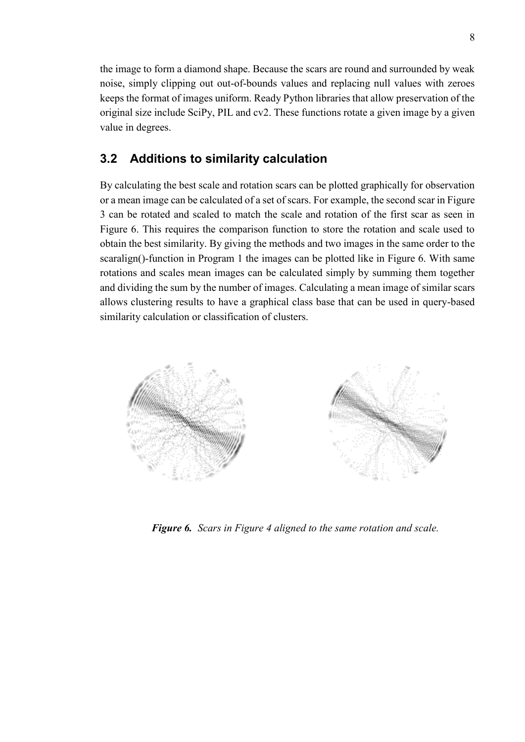the image to form a diamond shape. Because the scars are round and surrounded by weak noise, simply clipping out out-of-bounds values and replacing null values with zeroes keeps the format of images uniform. Ready Python libraries that allow preservation of the original size include SciPy, PIL and cv2. These functions rotate a given image by a given value in degrees.

## <span id="page-13-0"></span>**3.2 Additions to similarity calculation**

By calculating the best scale and rotation scars can be plotted graphically for observation or a mean image can be calculated of a set of scars. For example, the second scar in Figure 3 can be rotated and scaled to match the scale and rotation of the first scar as seen in Figure 6. This requires the comparison function to store the rotation and scale used to obtain the best similarity. By giving the methods and two images in the same order to the scaralign()-function in Program 1 the images can be plotted like in Figure 6. With same rotations and scales mean images can be calculated simply by summing them together and dividing the sum by the number of images. Calculating a mean image of similar scars allows clustering results to have a graphical class base that can be used in query-based similarity calculation or classification of clusters.

<span id="page-13-1"></span>

*Figure 6. Scars in Figure 4 aligned to the same rotation and scale.*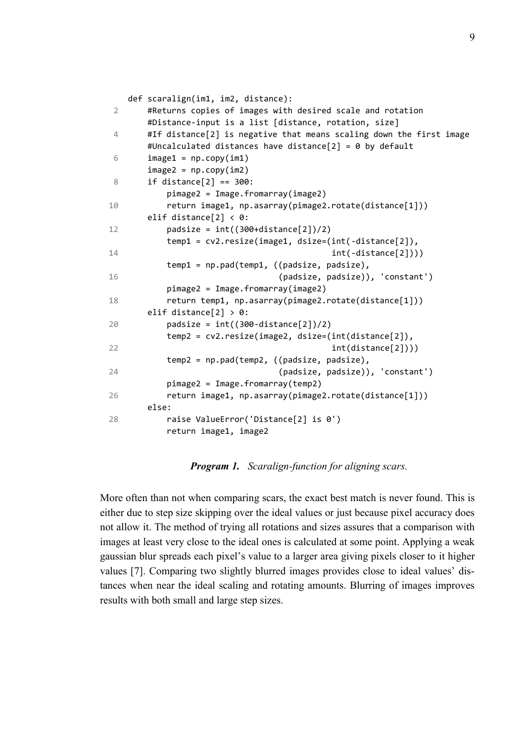```
2
 \Delta6
 8
10
12
14
16
18
20
22
24
26
28
    def scaralign(im1, im2, distance):
         #Returns copies of images with desired scale and rotation
         #Distance-input is a list [distance, rotation, size]
         #If distance[2] is negative that means scaling down the first image
         #Uncalculated distances have distance[2] = 0 by default
        image1 = np.copy(im1)image2 = np.copy(im2)if distance[2] == 300:
             pimage2 = Image.fromarray(image2)
             return image1, np.asarray(pimage2.rotate(distance[1])) 
         elif distance[2] < 0:
            padsize = int((300+distance[2])/2) temp1 = cv2.resize(image1, dsize=(int(-distance[2]), 
                                                 int(-distance[2])))
             temp1 = np.pad(temp1, ((padsize, padsize), 
                                     (padsize, padsize)), 'constant')
             pimage2 = Image.fromarray(image2)
             return temp1, np.asarray(pimage2.rotate(distance[1])) 
         elif distance[2] > 0:
            padsize = int((300 - distance[2])/2) temp2 = cv2.resize(image2, dsize=(int(distance[2]),
                                                 int(distance[2])))
             temp2 = np.pad(temp2, ((padsize, padsize),
                                     (padsize, padsize)), 'constant')
             pimage2 = Image.fromarray(temp2)
             return image1, np.asarray(pimage2.rotate(distance[1]))
         else:
             raise ValueError('Distance[2] is 0')
             return image1, image2
```
*Program 1. Scaralign-function for aligning scars.*

More often than not when comparing scars, the exact best match is never found. This is either due to step size skipping over the ideal values or just because pixel accuracy does not allow it. The method of trying all rotations and sizes assures that a comparison with images at least very close to the ideal ones is calculated at some point. Applying a weak gaussian blur spreads each pixel's value to a larger area giving pixels closer to it higher values [7]. Comparing two slightly blurred images provides close to ideal values' distances when near the ideal scaling and rotating amounts. Blurring of images improves results with both small and large step sizes.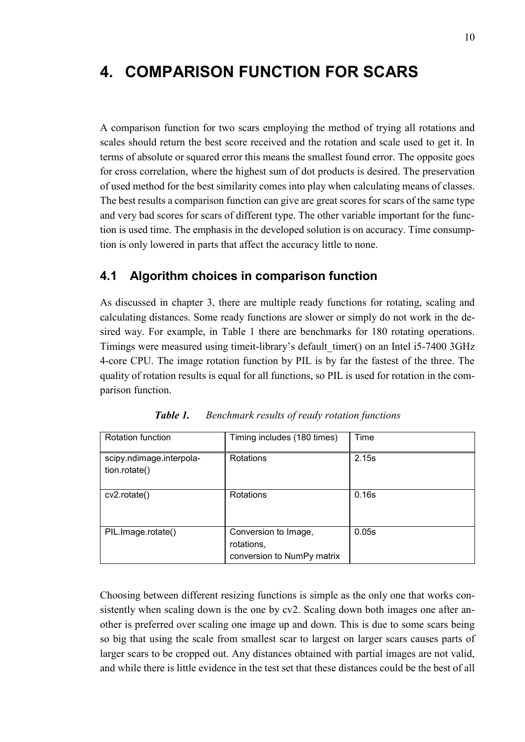# <span id="page-15-0"></span>**4. COMPARISON FUNCTION FOR SCARS**

A comparison function for two scars employing the method of trying all rotations and scales should return the best score received and the rotation and scale used to get it. In terms of absolute or squared error this means the smallest found error. The opposite goes for cross correlation, where the highest sum of dot products is desired. The preservation of used method for the best similarity comes into play when calculating means of classes. The best results a comparison function can give are great scores for scars of the same type and very bad scores for scars of different type. The other variable important for the function is used time. The emphasis in the developed solution is on accuracy. Time consumption is only lowered in parts that affect the accuracy little to none.

### <span id="page-15-1"></span>**4.1 Algorithm choices in comparison function**

As discussed in chapter 3, there are multiple ready functions for rotating, scaling and calculating distances. Some ready functions are slower or simply do not work in the desired way. For example, in Table 1 there are benchmarks for 180 rotating operations. Timings were measured using timeit-library's default\_timer() on an Intel i5-7400 3GHz 4-core CPU. The image rotation function by PIL is by far the fastest of the three. The quality of rotation results is equal for all functions, so PIL is used for rotation in the comparison function.

| <b>Rotation function</b>                  | Timing includes (180 times)                                      | Time  |
|-------------------------------------------|------------------------------------------------------------------|-------|
| scipy.ndimage.interpola-<br>tion.rotate() | Rotations                                                        | 2.15s |
| cv2.rotate()                              | Rotations                                                        | 0.16s |
| PIL.Image.rotate()                        | Conversion to Image,<br>rotations,<br>conversion to NumPy matrix | 0.05s |

*Table 1. Benchmark results of ready rotation functions*

Choosing between different resizing functions is simple as the only one that works consistently when scaling down is the one by cv2. Scaling down both images one after another is preferred over scaling one image up and down. This is due to some scars being so big that using the scale from smallest scar to largest on larger scars causes parts of larger scars to be cropped out. Any distances obtained with partial images are not valid, and while there is little evidence in the test set that these distances could be the best of all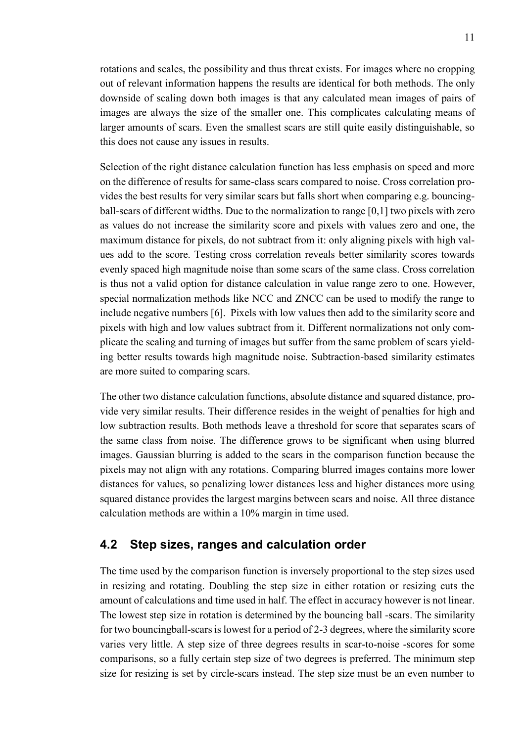rotations and scales, the possibility and thus threat exists. For images where no cropping out of relevant information happens the results are identical for both methods. The only downside of scaling down both images is that any calculated mean images of pairs of images are always the size of the smaller one. This complicates calculating means of larger amounts of scars. Even the smallest scars are still quite easily distinguishable, so this does not cause any issues in results.

Selection of the right distance calculation function has less emphasis on speed and more on the difference of results for same-class scars compared to noise. Cross correlation provides the best results for very similar scars but falls short when comparing e.g. bouncingball-scars of different widths. Due to the normalization to range [0,1] two pixels with zero as values do not increase the similarity score and pixels with values zero and one, the maximum distance for pixels, do not subtract from it: only aligning pixels with high values add to the score. Testing cross correlation reveals better similarity scores towards evenly spaced high magnitude noise than some scars of the same class. Cross correlation is thus not a valid option for distance calculation in value range zero to one. However, special normalization methods like NCC and ZNCC can be used to modify the range to include negative numbers [6]. Pixels with low values then add to the similarity score and pixels with high and low values subtract from it. Different normalizations not only complicate the scaling and turning of images but suffer from the same problem of scars yielding better results towards high magnitude noise. Subtraction-based similarity estimates are more suited to comparing scars.

The other two distance calculation functions, absolute distance and squared distance, provide very similar results. Their difference resides in the weight of penalties for high and low subtraction results. Both methods leave a threshold for score that separates scars of the same class from noise. The difference grows to be significant when using blurred images. Gaussian blurring is added to the scars in the comparison function because the pixels may not align with any rotations. Comparing blurred images contains more lower distances for values, so penalizing lower distances less and higher distances more using squared distance provides the largest margins between scars and noise. All three distance calculation methods are within a 10% margin in time used.

#### <span id="page-16-0"></span>**4.2 Step sizes, ranges and calculation order**

The time used by the comparison function is inversely proportional to the step sizes used in resizing and rotating. Doubling the step size in either rotation or resizing cuts the amount of calculations and time used in half. The effect in accuracy however is not linear. The lowest step size in rotation is determined by the bouncing ball -scars. The similarity for two bouncingball-scars is lowest for a period of 2-3 degrees, where the similarity score varies very little. A step size of three degrees results in scar-to-noise -scores for some comparisons, so a fully certain step size of two degrees is preferred. The minimum step size for resizing is set by circle-scars instead. The step size must be an even number to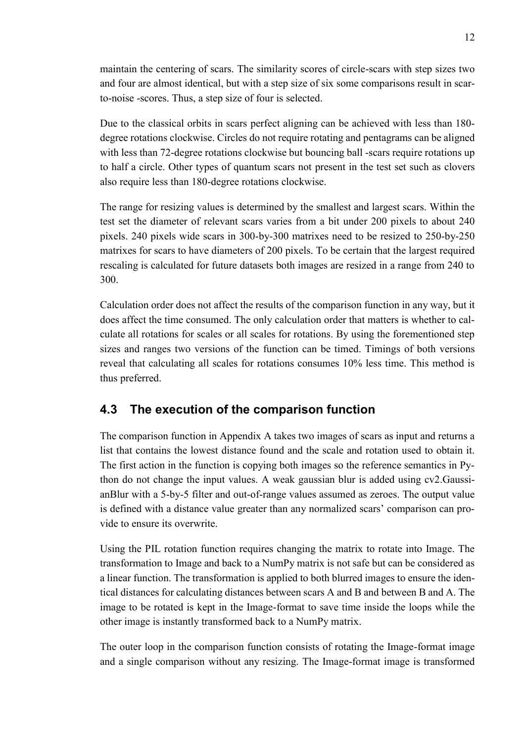maintain the centering of scars. The similarity scores of circle-scars with step sizes two and four are almost identical, but with a step size of six some comparisons result in scarto-noise -scores. Thus, a step size of four is selected.

Due to the classical orbits in scars perfect aligning can be achieved with less than 180 degree rotations clockwise. Circles do not require rotating and pentagrams can be aligned with less than 72-degree rotations clockwise but bouncing ball -scars require rotations up to half a circle. Other types of quantum scars not present in the test set such as clovers also require less than 180-degree rotations clockwise.

The range for resizing values is determined by the smallest and largest scars. Within the test set the diameter of relevant scars varies from a bit under 200 pixels to about 240 pixels. 240 pixels wide scars in 300-by-300 matrixes need to be resized to 250-by-250 matrixes for scars to have diameters of 200 pixels. To be certain that the largest required rescaling is calculated for future datasets both images are resized in a range from 240 to 300.

Calculation order does not affect the results of the comparison function in any way, but it does affect the time consumed. The only calculation order that matters is whether to calculate all rotations for scales or all scales for rotations. By using the forementioned step sizes and ranges two versions of the function can be timed. Timings of both versions reveal that calculating all scales for rotations consumes 10% less time. This method is thus preferred.

## <span id="page-17-0"></span>**4.3 The execution of the comparison function**

The comparison function in Appendix A takes two images of scars as input and returns a list that contains the lowest distance found and the scale and rotation used to obtain it. The first action in the function is copying both images so the reference semantics in Python do not change the input values. A weak gaussian blur is added using cv2.GaussianBlur with a 5-by-5 filter and out-of-range values assumed as zeroes. The output value is defined with a distance value greater than any normalized scars' comparison can provide to ensure its overwrite.

Using the PIL rotation function requires changing the matrix to rotate into Image. The transformation to Image and back to a NumPy matrix is not safe but can be considered as a linear function. The transformation is applied to both blurred images to ensure the identical distances for calculating distances between scars A and B and between B and A. The image to be rotated is kept in the Image-format to save time inside the loops while the other image is instantly transformed back to a NumPy matrix.

The outer loop in the comparison function consists of rotating the Image-format image and a single comparison without any resizing. The Image-format image is transformed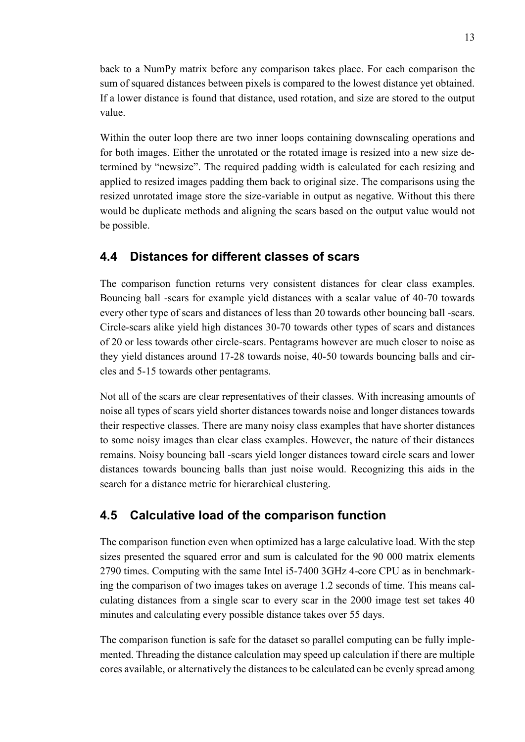back to a NumPy matrix before any comparison takes place. For each comparison the sum of squared distances between pixels is compared to the lowest distance yet obtained. If a lower distance is found that distance, used rotation, and size are stored to the output value.

Within the outer loop there are two inner loops containing downscaling operations and for both images. Either the unrotated or the rotated image is resized into a new size determined by "newsize". The required padding width is calculated for each resizing and applied to resized images padding them back to original size. The comparisons using the resized unrotated image store the size-variable in output as negative. Without this there would be duplicate methods and aligning the scars based on the output value would not be possible.

## <span id="page-18-0"></span>**4.4 Distances for different classes of scars**

The comparison function returns very consistent distances for clear class examples. Bouncing ball -scars for example yield distances with a scalar value of 40-70 towards every other type of scars and distances of less than 20 towards other bouncing ball -scars. Circle-scars alike yield high distances 30-70 towards other types of scars and distances of 20 or less towards other circle-scars. Pentagrams however are much closer to noise as they yield distances around 17-28 towards noise, 40-50 towards bouncing balls and circles and 5-15 towards other pentagrams.

Not all of the scars are clear representatives of their classes. With increasing amounts of noise all types of scars yield shorter distances towards noise and longer distances towards their respective classes. There are many noisy class examples that have shorter distances to some noisy images than clear class examples. However, the nature of their distances remains. Noisy bouncing ball -scars yield longer distances toward circle scars and lower distances towards bouncing balls than just noise would. Recognizing this aids in the search for a distance metric for hierarchical clustering.

## <span id="page-18-1"></span>**4.5 Calculative load of the comparison function**

The comparison function even when optimized has a large calculative load. With the step sizes presented the squared error and sum is calculated for the 90 000 matrix elements 2790 times. Computing with the same Intel i5-7400 3GHz 4-core CPU as in benchmarking the comparison of two images takes on average 1.2 seconds of time. This means calculating distances from a single scar to every scar in the 2000 image test set takes 40 minutes and calculating every possible distance takes over 55 days.

The comparison function is safe for the dataset so parallel computing can be fully implemented. Threading the distance calculation may speed up calculation if there are multiple cores available, or alternatively the distances to be calculated can be evenly spread among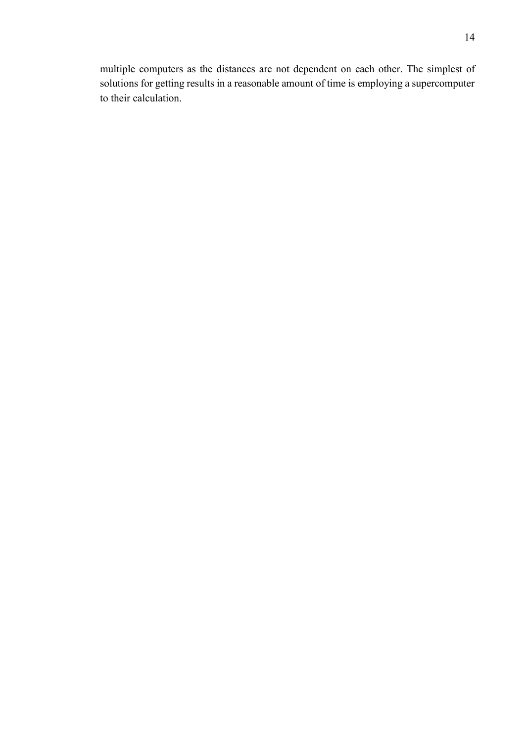multiple computers as the distances are not dependent on each other. The simplest of solutions for getting results in a reasonable amount of time is employing a supercomputer to their calculation.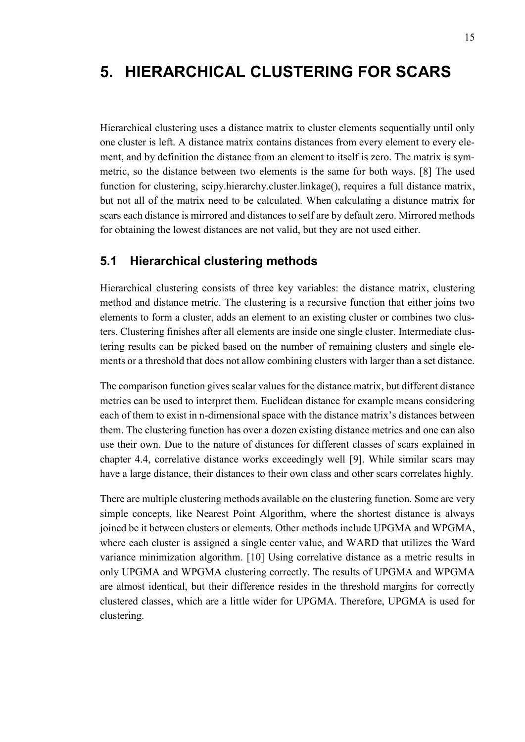# <span id="page-20-0"></span>**5. HIERARCHICAL CLUSTERING FOR SCARS**

Hierarchical clustering uses a distance matrix to cluster elements sequentially until only one cluster is left. A distance matrix contains distances from every element to every element, and by definition the distance from an element to itself is zero. The matrix is symmetric, so the distance between two elements is the same for both ways. [8] The used function for clustering, scipy.hierarchy.cluster.linkage(), requires a full distance matrix, but not all of the matrix need to be calculated. When calculating a distance matrix for scars each distance is mirrored and distances to self are by default zero. Mirrored methods for obtaining the lowest distances are not valid, but they are not used either.

### <span id="page-20-1"></span>**5.1 Hierarchical clustering methods**

Hierarchical clustering consists of three key variables: the distance matrix, clustering method and distance metric. The clustering is a recursive function that either joins two elements to form a cluster, adds an element to an existing cluster or combines two clusters. Clustering finishes after all elements are inside one single cluster. Intermediate clustering results can be picked based on the number of remaining clusters and single elements or a threshold that does not allow combining clusters with larger than a set distance.

The comparison function gives scalar values for the distance matrix, but different distance metrics can be used to interpret them. Euclidean distance for example means considering each of them to exist in n-dimensional space with the distance matrix's distances between them. The clustering function has over a dozen existing distance metrics and one can also use their own. Due to the nature of distances for different classes of scars explained in chapter 4.4, correlative distance works exceedingly well [9]. While similar scars may have a large distance, their distances to their own class and other scars correlates highly.

There are multiple clustering methods available on the clustering function. Some are very simple concepts, like Nearest Point Algorithm, where the shortest distance is always joined be it between clusters or elements. Other methods include UPGMA and WPGMA, where each cluster is assigned a single center value, and WARD that utilizes the Ward variance minimization algorithm. [10] Using correlative distance as a metric results in only UPGMA and WPGMA clustering correctly. The results of UPGMA and WPGMA are almost identical, but their difference resides in the threshold margins for correctly clustered classes, which are a little wider for UPGMA. Therefore, UPGMA is used for clustering.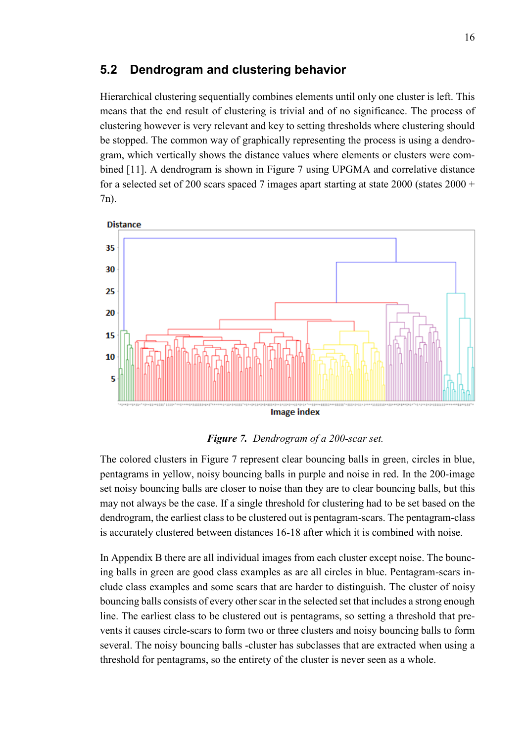## <span id="page-21-0"></span>**5.2 Dendrogram and clustering behavior**

Hierarchical clustering sequentially combines elements until only one cluster is left. This means that the end result of clustering is trivial and of no significance. The process of clustering however is very relevant and key to setting thresholds where clustering should be stopped. The common way of graphically representing the process is using a dendrogram, which vertically shows the distance values where elements or clusters were combined [11]. A dendrogram is shown in Figure 7 using UPGMA and correlative distance for a selected set of 200 scars spaced 7 images apart starting at state 2000 (states  $2000 +$ 7n).



<span id="page-21-1"></span>*Figure 7. Dendrogram of a 200-scar set.*

The colored clusters in Figure 7 represent clear bouncing balls in green, circles in blue, pentagrams in yellow, noisy bouncing balls in purple and noise in red. In the 200-image set noisy bouncing balls are closer to noise than they are to clear bouncing balls, but this may not always be the case. If a single threshold for clustering had to be set based on the dendrogram, the earliest class to be clustered out is pentagram-scars. The pentagram-class is accurately clustered between distances 16-18 after which it is combined with noise.

In Appendix B there are all individual images from each cluster except noise. The bouncing balls in green are good class examples as are all circles in blue. Pentagram-scars include class examples and some scars that are harder to distinguish. The cluster of noisy bouncing balls consists of every other scar in the selected set that includes a strong enough line. The earliest class to be clustered out is pentagrams, so setting a threshold that prevents it causes circle-scars to form two or three clusters and noisy bouncing balls to form several. The noisy bouncing balls -cluster has subclasses that are extracted when using a threshold for pentagrams, so the entirety of the cluster is never seen as a whole.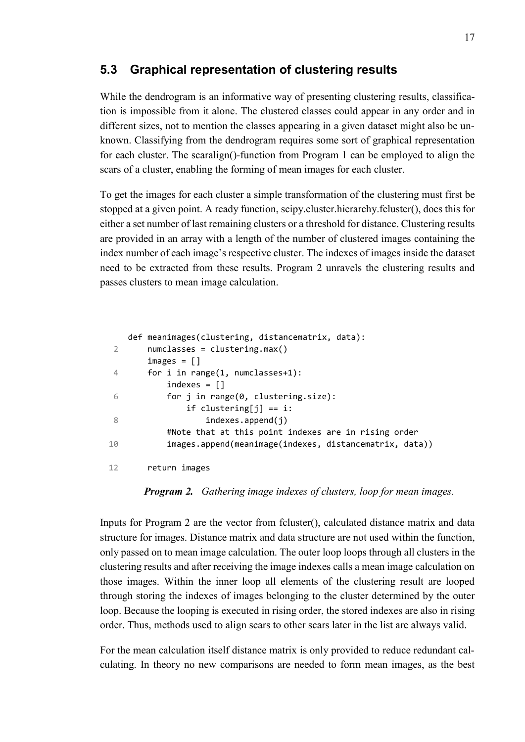## <span id="page-22-0"></span>**5.3 Graphical representation of clustering results**

While the dendrogram is an informative way of presenting clustering results, classification is impossible from it alone. The clustered classes could appear in any order and in different sizes, not to mention the classes appearing in a given dataset might also be unknown. Classifying from the dendrogram requires some sort of graphical representation for each cluster. The scaralign()-function from Program 1 can be employed to align the scars of a cluster, enabling the forming of mean images for each cluster.

To get the images for each cluster a simple transformation of the clustering must first be stopped at a given point. A ready function, scipy.cluster.hierarchy.fcluster(), does this for either a set number of last remaining clusters or a threshold for distance. Clustering results are provided in an array with a length of the number of clustered images containing the index number of each image's respective cluster. The indexes of images inside the dataset need to be extracted from these results. Program 2 unravels the clustering results and passes clusters to mean image calculation.

```
2
 \Delta6
 8
10
12
    def meanimages(clustering, distancematrix, data):
         numclasses = clustering.max()
         images = []
         for i in range(1, numclasses+1):
            indexes = [] for j in range(0, clustering.size):
                 if clustering[j] == i:
                     indexes.append(i)
             #Note that at this point indexes are in rising order
             images.append(meanimage(indexes, distancematrix, data))
         return images
```
*Program 2. Gathering image indexes of clusters, loop for mean images.*

Inputs for Program 2 are the vector from fcluster(), calculated distance matrix and data structure for images. Distance matrix and data structure are not used within the function, only passed on to mean image calculation. The outer loop loops through all clusters in the clustering results and after receiving the image indexes calls a mean image calculation on those images. Within the inner loop all elements of the clustering result are looped through storing the indexes of images belonging to the cluster determined by the outer loop. Because the looping is executed in rising order, the stored indexes are also in rising order. Thus, methods used to align scars to other scars later in the list are always valid.

For the mean calculation itself distance matrix is only provided to reduce redundant calculating. In theory no new comparisons are needed to form mean images, as the best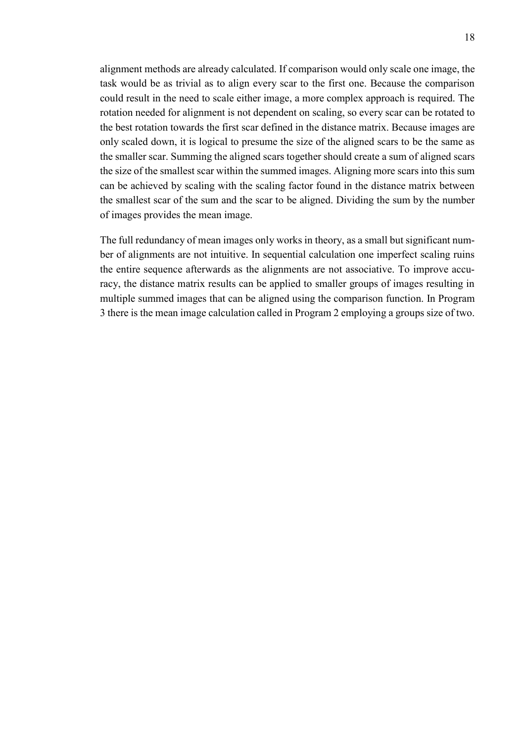alignment methods are already calculated. If comparison would only scale one image, the task would be as trivial as to align every scar to the first one. Because the comparison could result in the need to scale either image, a more complex approach is required. The rotation needed for alignment is not dependent on scaling, so every scar can be rotated to the best rotation towards the first scar defined in the distance matrix. Because images are only scaled down, it is logical to presume the size of the aligned scars to be the same as the smaller scar. Summing the aligned scars together should create a sum of aligned scars the size of the smallest scar within the summed images. Aligning more scars into this sum can be achieved by scaling with the scaling factor found in the distance matrix between the smallest scar of the sum and the scar to be aligned. Dividing the sum by the number of images provides the mean image.

The full redundancy of mean images only works in theory, as a small but significant number of alignments are not intuitive. In sequential calculation one imperfect scaling ruins the entire sequence afterwards as the alignments are not associative. To improve accuracy, the distance matrix results can be applied to smaller groups of images resulting in multiple summed images that can be aligned using the comparison function. In Program 3 there is the mean image calculation called in Program 2 employing a groups size of two.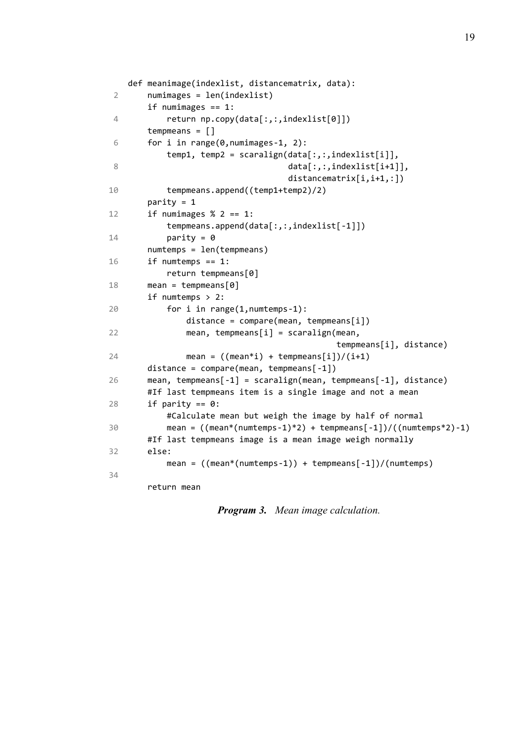```
2
 4
 6
 8
10
12
14
16
18
20
22
24
26
28
30
32
34
    def meanimage(indexlist, distancematrix, data):
         numimages = len(indexlist)
         if numimages == 1:
             return np.copy(data[:,:,indexlist[0]]) 
         tempmeans = []
         for i in range(0,numimages-1, 2):
            temp1, temp2 = scaralign(data[:,:,indexlist[i]],
                                       data[:,:,indexlist[i+1]], 
                                      distancematrix[i,i+1,:])
             tempmeans.append((temp1+temp2)/2)
         parity = 1
        if numimages % 2 == 1:
             tempmeans.append(data[:,:,indexlist[-1]])
            parity = \theta numtemps = len(tempmeans)
         if numtemps == 1:
             return tempmeans[0]
        mean = tempmeans[0] if numtemps > 2:
             for i in range(1,numtemps-1):
                distance = compare(mean, tempmeans[i])mean, tempmeans[i] = scaralign(mean,
                                                  tempmeans[i], distance)
                mean = ((mean * i) + tempmeans[i])/(i+1) distance = compare(mean, tempmeans[-1])
         mean, tempmeans[-1] = scaralign(mean, tempmeans[-1], distance)
         #If last tempmeans item is a single image and not a mean
        if parity == 0:
             #Calculate mean but weigh the image by half of normal
            mean = ((mean*(numtemps-1)*2) + tempmeans[-1])/((numtemps*2)-1) #If last tempmeans image is a mean image weigh normally
         else:
            mean = ((mean*(numtemps-1)) + tempmeans[-1])/(numtemps) return mean
```
*Program 3. Mean image calculation.*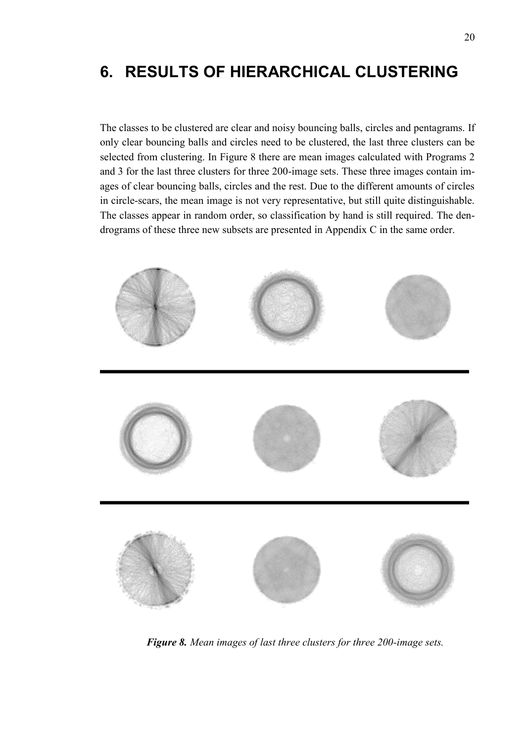# <span id="page-25-0"></span>**6. RESULTS OF HIERARCHICAL CLUSTERING**

The classes to be clustered are clear and noisy bouncing balls, circles and pentagrams. If only clear bouncing balls and circles need to be clustered, the last three clusters can be selected from clustering. In Figure 8 there are mean images calculated with Programs 2 and 3 for the last three clusters for three 200-image sets. These three images contain images of clear bouncing balls, circles and the rest. Due to the different amounts of circles in circle-scars, the mean image is not very representative, but still quite distinguishable. The classes appear in random order, so classification by hand is still required. The dendrograms of these three new subsets are presented in Appendix C in the same order.

<span id="page-25-1"></span>

*Figure 8. Mean images of last three clusters for three 200-image sets.*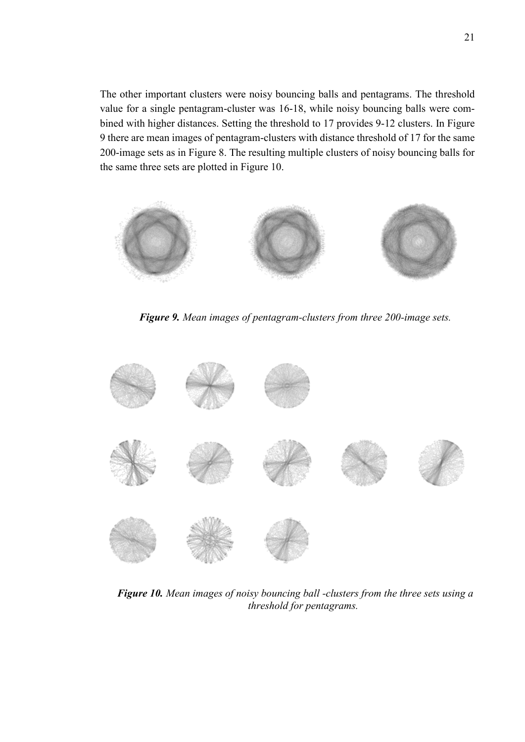The other important clusters were noisy bouncing balls and pentagrams. The threshold value for a single pentagram-cluster was 16-18, while noisy bouncing balls were combined with higher distances. Setting the threshold to 17 provides 9-12 clusters. In Figure 9 there are mean images of pentagram-clusters with distance threshold of 17 for the same 200-image sets as in Figure 8. The resulting multiple clusters of noisy bouncing balls for the same three sets are plotted in Figure 10.



*Figure 9. Mean images of pentagram-clusters from three 200-image sets.*

<span id="page-26-1"></span><span id="page-26-0"></span>

*Figure 10. Mean images of noisy bouncing ball -clusters from the three sets using a threshold for pentagrams.*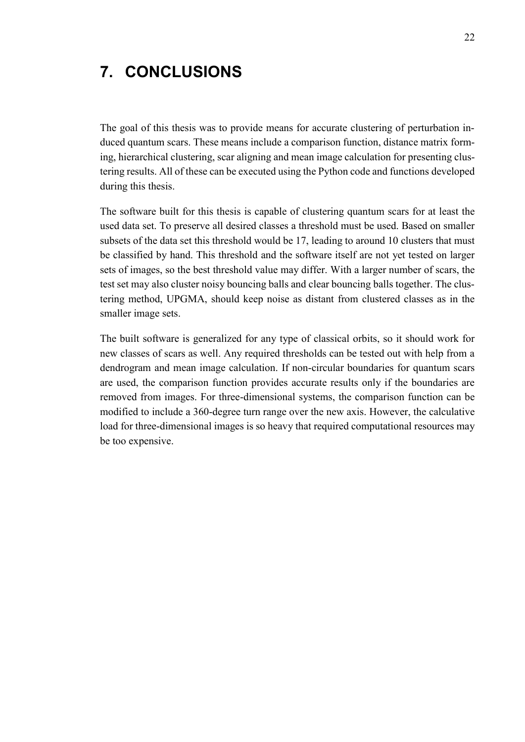# <span id="page-27-0"></span>**7. CONCLUSIONS**

The goal of this thesis was to provide means for accurate clustering of perturbation induced quantum scars. These means include a comparison function, distance matrix forming, hierarchical clustering, scar aligning and mean image calculation for presenting clustering results. All of these can be executed using the Python code and functions developed during this thesis.

The software built for this thesis is capable of clustering quantum scars for at least the used data set. To preserve all desired classes a threshold must be used. Based on smaller subsets of the data set this threshold would be 17, leading to around 10 clusters that must be classified by hand. This threshold and the software itself are not yet tested on larger sets of images, so the best threshold value may differ. With a larger number of scars, the test set may also cluster noisy bouncing balls and clear bouncing balls together. The clustering method, UPGMA, should keep noise as distant from clustered classes as in the smaller image sets.

The built software is generalized for any type of classical orbits, so it should work for new classes of scars as well. Any required thresholds can be tested out with help from a dendrogram and mean image calculation. If non-circular boundaries for quantum scars are used, the comparison function provides accurate results only if the boundaries are removed from images. For three-dimensional systems, the comparison function can be modified to include a 360-degree turn range over the new axis. However, the calculative load for three-dimensional images is so heavy that required computational resources may be too expensive.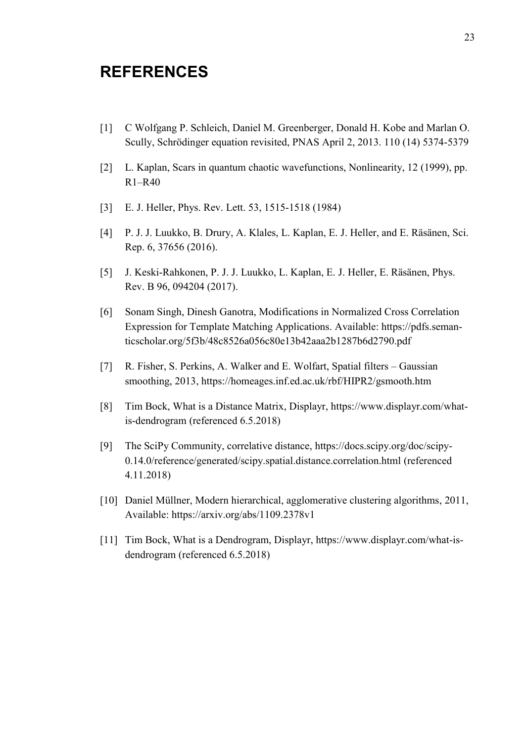## <span id="page-28-0"></span>**REFERENCES**

- [1] C Wolfgang P. Schleich, Daniel M. Greenberger, Donald H. Kobe and Marlan O. Scully, Schrödinger equation revisited, PNAS April 2, 2013. 110 (14) 5374-5379
- [2] L. Kaplan, Scars in quantum chaotic wavefunctions, Nonlinearity, 12 (1999), pp. R1–R40
- [3] E. J. Heller, Phys. Rev. Lett. 53, 1515-1518 (1984)
- [4] P. J. J. Luukko, B. Drury, A. Klales, L. Kaplan, E. J. Heller, and E. Räsänen, Sci. Rep. 6, 37656 (2016).
- [5] J. Keski-Rahkonen, P. J. J. Luukko, L. Kaplan, E. J. Heller, E. Räsänen, Phys. Rev. B 96, 094204 (2017).
- [6] Sonam Singh, Dinesh Ganotra, Modifications in Normalized Cross Correlation Expression for Template Matching Applications. Available: https://pdfs.semanticscholar.org/5f3b/48c8526a056c80e13b42aaa2b1287b6d2790.pdf
- [7] R. Fisher, S. Perkins, A. Walker and E. Wolfart, Spatial filters Gaussian smoothing, 2013, https://homeages.inf.ed.ac.uk/rbf/HIPR2/gsmooth.htm
- [8] Tim Bock, What is a Distance Matrix, Displayr, https://www.displayr.com/whatis-dendrogram (referenced 6.5.2018)
- [9] The SciPy Community, correlative distance, https://docs.scipy.org/doc/scipy-0.14.0/reference/generated/scipy.spatial.distance.correlation.html (referenced 4.11.2018)
- [10] Daniel Müllner, Modern hierarchical, agglomerative clustering algorithms, 2011, Available: https://arxiv.org/abs/1109.2378v1
- [11] Tim Bock, What is a Dendrogram, Displayr, https://www.displayr.com/what-isdendrogram (referenced 6.5.2018)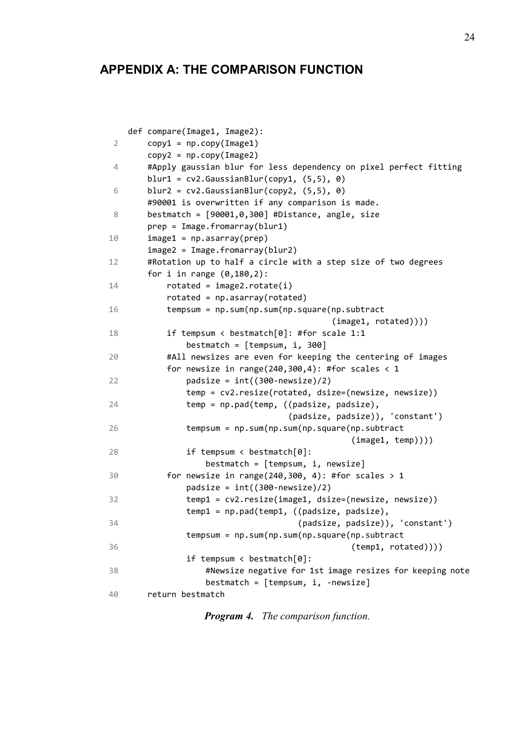# **APPENDIX A: THE COMPARISON FUNCTION**

|    | def compare(Image1, Image2):                                      |
|----|-------------------------------------------------------------------|
| 2  | $copy1 = np.copy(Image1)$                                         |
|    | $copy2 = np.copy(Image2)$                                         |
| 4  | #Apply gaussian blur for less dependency on pixel perfect fitting |
|    | blur1 = $cv2.GaussianBlur(copy1, (5,5), 0)$                       |
| 6  | blur2 = $cv2.GaussianBlur(copy2, (5,5), 0)$                       |
|    | #90001 is overwritten if any comparison is made.                  |
| 8  | bestmatch = $[90001, 0, 300]$ #Distance, angle, size              |
|    | prep = Image.fromarray(blur1)                                     |
| 10 | $image1 = np.asarray(prep)$                                       |
|    | $image2 = Image.fromarray(blur2)$                                 |
| 12 | #Rotation up to half a circle with a step size of two degrees     |
|    | for i in range $(0, 180, 2)$ :                                    |
| 14 | $rotated = image2.rotate(i)$                                      |
|    | $rotated = np.asarray(rotated)$                                   |
| 16 | tempsum = np.sum(np.sum(np.square(np.subtract                     |
|    | (image1, rotated)))                                               |
| 18 | if tempsum < bestmatch $[0]$ : #for scale 1:1                     |
|    | bestmatch = $[$ tempsum, i, 300]                                  |
| 20 | #All newsizes are even for keeping the centering of images        |
|    | for newsize in range(240,300,4): #for scales $\langle 1$          |
| 22 | padsize = $int((300-newsize)/2)$                                  |
|    | temp = cv2.resize(rotated, dsize=(newsize, newsize))              |
| 24 | temp = np.pad(temp, ((padsize, padsize),                          |
|    | (padsize, padsize)), 'constant')                                  |
| 26 | tempsum = np.sum(np.sum(np.square(np.subtract                     |
|    | (image1, temp)))                                                  |
| 28 | if tempsum < bestmatch $[0]$ :                                    |
|    | $bestmatch = [tempsum, i, newsize]$                               |
| 30 | for newsize in range(240,300, 4): #for scales > 1                 |
|    | padsize = $int((300-newsize)/2)$                                  |
| 32 | temp1 = cv2.resize(image1, dsize=(newsize, newsize))              |
|    | temp1 = np.pad(temp1, ((padsize, padsize),                        |
| 34 | (padsize, padsize)), 'constant')                                  |
|    | tempsum = np.sum(np.sum(np.square(np.subtract                     |
| 36 | (temp1, rotated)))                                                |
|    | if tempsum < bestmatch $[0]$ :                                    |
| 38 | #Newsize negative for 1st image resizes for keeping note          |
|    | $bestmatch = [tempsum, i, -newsize]$                              |
| 40 | return bestmatch                                                  |

*Program 4. The comparison function.*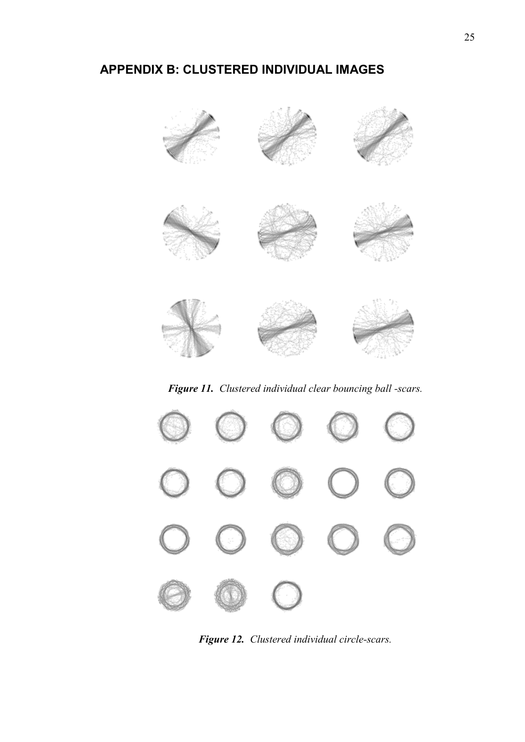# **APPENDIX B: CLUSTERED INDIVIDUAL IMAGES**



*Figure 11. Clustered individual clear bouncing ball -scars.*

<span id="page-30-1"></span><span id="page-30-0"></span>

*Figure 12. Clustered individual circle-scars.*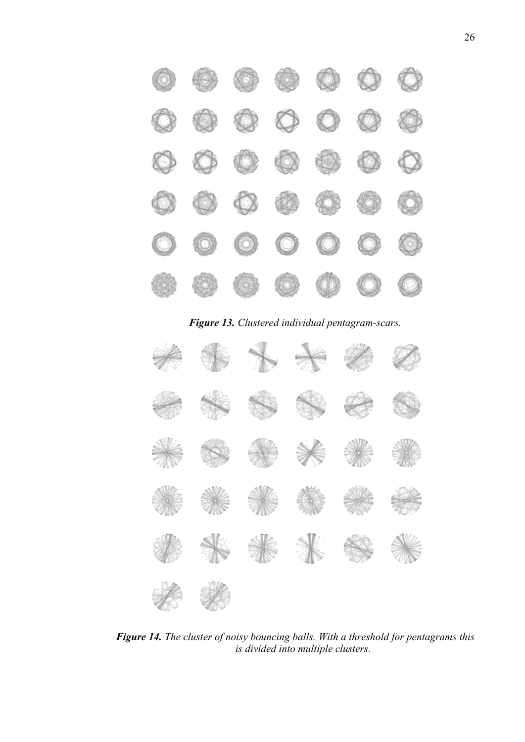

*Figure 13. Clustered individual pentagram-scars.*

<span id="page-31-1"></span><span id="page-31-0"></span>

*Figure 14. The cluster of noisy bouncing balls. With a threshold for pentagrams this is divided into multiple clusters.*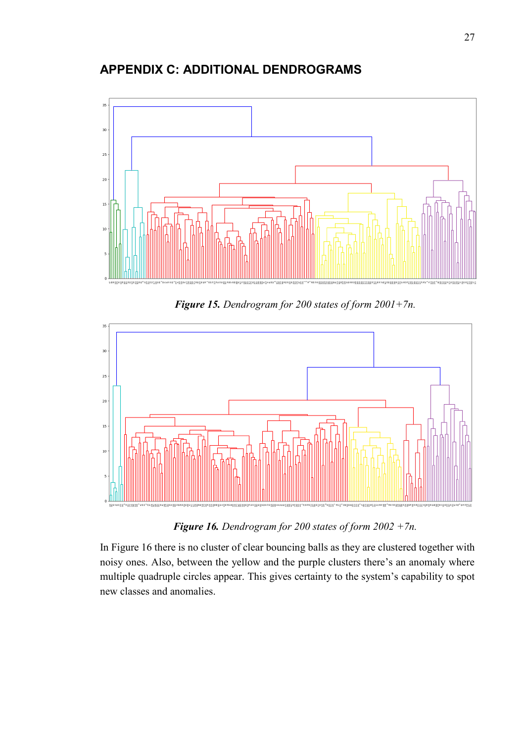## **APPENDIX C: ADDITIONAL DENDROGRAMS**



*Figure 15. Dendrogram for 200 states of form 2001+7n.*

<span id="page-32-0"></span>

*Figure 16. Dendrogram for 200 states of form 2002 +7n.*

<span id="page-32-1"></span>In Figure 16 there is no cluster of clear bouncing balls as they are clustered together with noisy ones. Also, between the yellow and the purple clusters there's an anomaly where multiple quadruple circles appear. This gives certainty to the system's capability to spot new classes and anomalies.